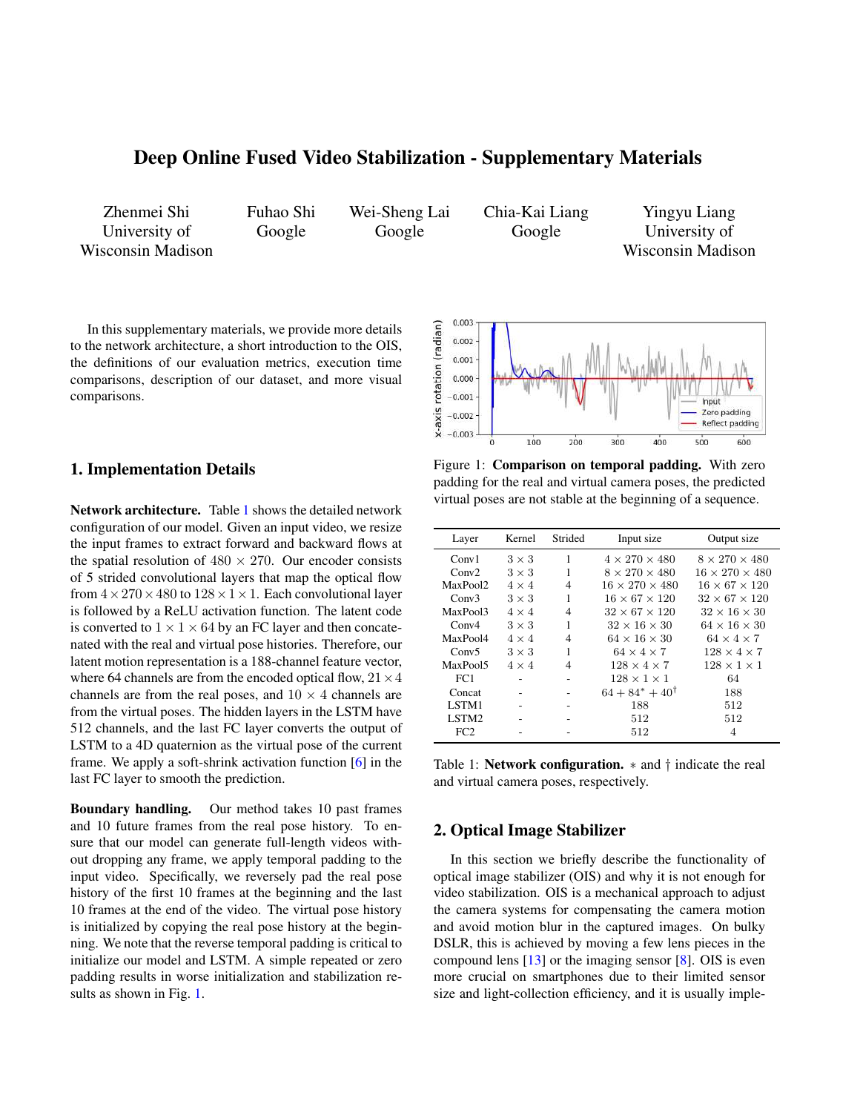# <span id="page-0-2"></span>Deep Online Fused Video Stabilization - Supplementary Materials

Zhenmei Shi University of Wisconsin Madison Fuhao Shi Google

Wei-Sheng Lai Google

Chia-Kai Liang Google

Yingyu Liang University of Wisconsin Madison

In this supplementary materials, we provide more details to the network architecture, a short introduction to the OIS, the definitions of our evaluation metrics, execution time comparisons, description of our dataset, and more visual comparisons.

## 1. Implementation Details

Network architecture. Table [1](#page-0-0) shows the detailed network configuration of our model. Given an input video, we resize the input frames to extract forward and backward flows at the spatial resolution of  $480 \times 270$ . Our encoder consists of 5 strided convolutional layers that map the optical flow from  $4 \times 270 \times 480$  to  $128 \times 1 \times 1$ . Each convolutional layer is followed by a ReLU activation function. The latent code is converted to  $1 \times 1 \times 64$  by an FC layer and then concatenated with the real and virtual pose histories. Therefore, our latent motion representation is a 188-channel feature vector, where 64 channels are from the encoded optical flow,  $21 \times 4$ channels are from the real poses, and  $10 \times 4$  channels are from the virtual poses. The hidden layers in the LSTM have 512 channels, and the last FC layer converts the output of LSTM to a 4D quaternion as the virtual pose of the current frame. We apply a soft-shrink activation function [\[6\]](#page-2-0) in the last FC layer to smooth the prediction.

Boundary handling. Our method takes 10 past frames and 10 future frames from the real pose history. To ensure that our model can generate full-length videos without dropping any frame, we apply temporal padding to the input video. Specifically, we reversely pad the real pose history of the first 10 frames at the beginning and the last 10 frames at the end of the video. The virtual pose history is initialized by copying the real pose history at the beginning. We note that the reverse temporal padding is critical to initialize our model and LSTM. A simple repeated or zero padding results in worse initialization and stabilization results as shown in Fig. [1.](#page-0-1)

<span id="page-0-1"></span>

Figure 1: Comparison on temporal padding. With zero padding for the real and virtual camera poses, the predicted virtual poses are not stable at the beginning of a sequence.

<span id="page-0-0"></span>

| Layer                | Kernel       | Strided | Input size                 | Output size                |
|----------------------|--------------|---------|----------------------------|----------------------------|
| Conv1                | $3 \times 3$ | 1       | $4 \times 270 \times 480$  | $8 \times 270 \times 480$  |
| Conv2                | $3 \times 3$ | 1       | $8 \times 270 \times 480$  | $16 \times 270 \times 480$ |
| MaxPool <sub>2</sub> | $4 \times 4$ | 4       | $16 \times 270 \times 480$ | $16 \times 67 \times 120$  |
| Conv3                | $3 \times 3$ | 1       | $16 \times 67 \times 120$  | $32 \times 67 \times 120$  |
| MaxPool3             | $4 \times 4$ | 4       | $32 \times 67 \times 120$  | $32 \times 16 \times 30$   |
| Conv4                | $3 \times 3$ | 1       | $32 \times 16 \times 30$   | $64 \times 16 \times 30$   |
| MaxPool4             | $4 \times 4$ | 4       | $64 \times 16 \times 30$   | $64 \times 4 \times 7$     |
| Conv5                | $3 \times 3$ | 1       | $64 \times 4 \times 7$     | $128 \times 4 \times 7$    |
| MaxPool5             | $4 \times 4$ | 4       | $128 \times 4 \times 7$    | $128 \times 1 \times 1$    |
| FC1                  |              |         | $128 \times 1 \times 1$    | 64                         |
| Concat               |              |         | $64 + 84^* + 40^{\dagger}$ | 188                        |
| LSTM1                |              |         | 188                        | 512                        |
| LSTM2                |              |         | 512                        | 512                        |
| FC2                  |              |         | 512                        | 4                          |

Table 1: Network configuration.  $*$  and  $\dagger$  indicate the real and virtual camera poses, respectively.

### 2. Optical Image Stabilizer

In this section we briefly describe the functionality of optical image stabilizer (OIS) and why it is not enough for video stabilization. OIS is a mechanical approach to adjust the camera systems for compensating the camera motion and avoid motion blur in the captured images. On bulky DSLR, this is achieved by moving a few lens pieces in the compound lens  $[13]$  or the imaging sensor  $[8]$ . OIS is even more crucial on smartphones due to their limited sensor size and light-collection efficiency, and it is usually imple-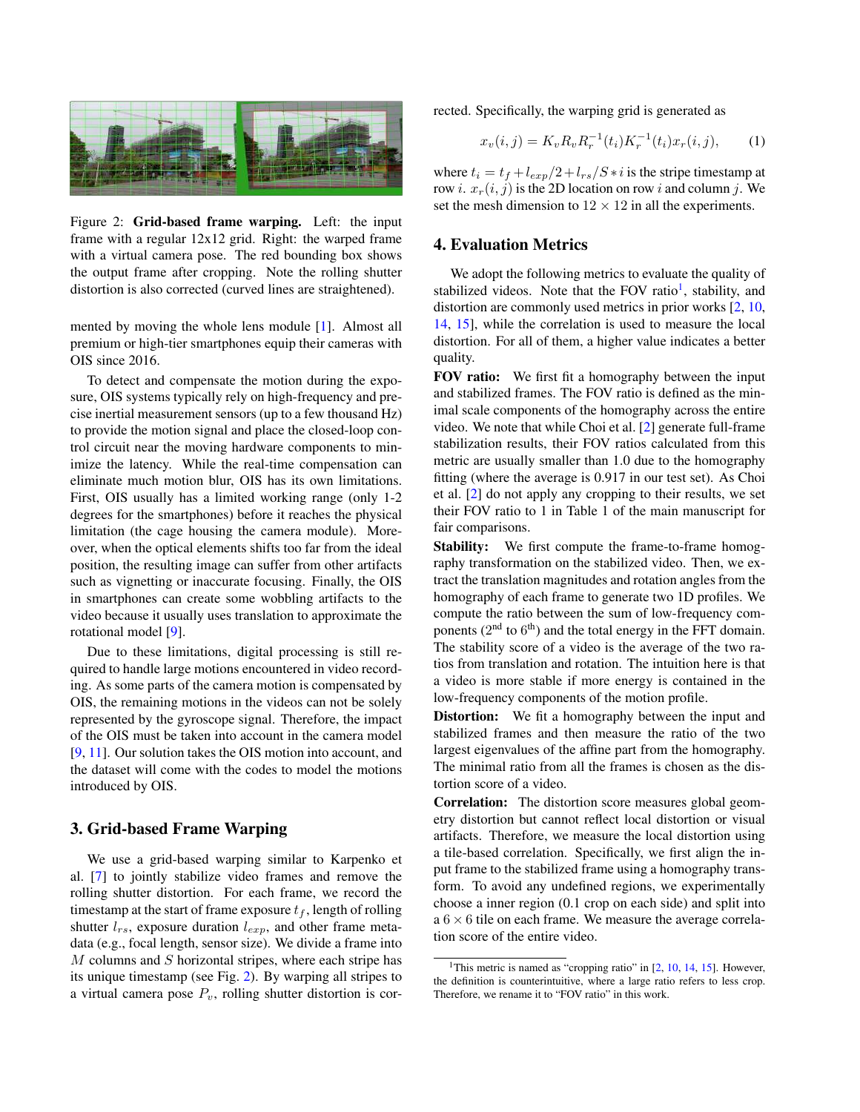<span id="page-1-2"></span><span id="page-1-0"></span>

Figure 2: Grid-based frame warping. Left: the input frame with a regular 12x12 grid. Right: the warped frame with a virtual camera pose. The red bounding box shows the output frame after cropping. Note the rolling shutter distortion is also corrected (curved lines are straightened).

mented by moving the whole lens module [\[1\]](#page-2-3). Almost all premium or high-tier smartphones equip their cameras with OIS since 2016.

To detect and compensate the motion during the exposure, OIS systems typically rely on high-frequency and precise inertial measurement sensors (up to a few thousand Hz) to provide the motion signal and place the closed-loop control circuit near the moving hardware components to minimize the latency. While the real-time compensation can eliminate much motion blur, OIS has its own limitations. First, OIS usually has a limited working range (only 1-2 degrees for the smartphones) before it reaches the physical limitation (the cage housing the camera module). Moreover, when the optical elements shifts too far from the ideal position, the resulting image can suffer from other artifacts such as vignetting or inaccurate focusing. Finally, the OIS in smartphones can create some wobbling artifacts to the video because it usually uses translation to approximate the rotational model [\[9\]](#page-2-4).

Due to these limitations, digital processing is still required to handle large motions encountered in video recording. As some parts of the camera motion is compensated by OIS, the remaining motions in the videos can not be solely represented by the gyroscope signal. Therefore, the impact of the OIS must be taken into account in the camera model [\[9,](#page-2-4) [11\]](#page-2-5). Our solution takes the OIS motion into account, and the dataset will come with the codes to model the motions introduced by OIS.

# 3. Grid-based Frame Warping

We use a grid-based warping similar to Karpenko et al. [\[7\]](#page-2-6) to jointly stabilize video frames and remove the rolling shutter distortion. For each frame, we record the timestamp at the start of frame exposure  $t_f$ , length of rolling shutter  $l_{rs}$ , exposure duration  $l_{exp}$ , and other frame metadata (e.g., focal length, sensor size). We divide a frame into  $M$  columns and  $S$  horizontal stripes, where each stripe has its unique timestamp (see Fig. [2\)](#page-1-0). By warping all stripes to a virtual camera pose  $P_v$ , rolling shutter distortion is corrected. Specifically, the warping grid is generated as

$$
x_v(i,j) = K_v R_v R_r^{-1}(t_i) K_r^{-1}(t_i) x_r(i,j), \qquad (1)
$$

where  $t_i = t_f + l_{exp}/2 + l_{rs}/S * i$  is the stripe timestamp at row *i.*  $x_r(i, j)$  is the 2D location on row *i* and column *j*. We set the mesh dimension to  $12 \times 12$  in all the experiments.

#### 4. Evaluation Metrics

We adopt the following metrics to evaluate the quality of stabilized videos. Note that the FOV ratio<sup>[1](#page-1-1)</sup>, stability, and distortion are commonly used metrics in prior works [\[2,](#page-2-7) [10,](#page-2-8) [14,](#page-2-9) [15\]](#page-2-10), while the correlation is used to measure the local distortion. For all of them, a higher value indicates a better quality.

FOV ratio: We first fit a homography between the input and stabilized frames. The FOV ratio is defined as the minimal scale components of the homography across the entire video. We note that while Choi et al. [\[2\]](#page-2-7) generate full-frame stabilization results, their FOV ratios calculated from this metric are usually smaller than 1.0 due to the homography fitting (where the average is 0.917 in our test set). As Choi et al. [\[2\]](#page-2-7) do not apply any cropping to their results, we set their FOV ratio to 1 in Table 1 of the main manuscript for fair comparisons.

Stability: We first compute the frame-to-frame homography transformation on the stabilized video. Then, we extract the translation magnitudes and rotation angles from the homography of each frame to generate two 1D profiles. We compute the ratio between the sum of low-frequency components ( $2<sup>nd</sup>$  to  $6<sup>th</sup>$ ) and the total energy in the FFT domain. The stability score of a video is the average of the two ratios from translation and rotation. The intuition here is that a video is more stable if more energy is contained in the low-frequency components of the motion profile.

Distortion: We fit a homography between the input and stabilized frames and then measure the ratio of the two largest eigenvalues of the affine part from the homography. The minimal ratio from all the frames is chosen as the distortion score of a video.

Correlation: The distortion score measures global geometry distortion but cannot reflect local distortion or visual artifacts. Therefore, we measure the local distortion using a tile-based correlation. Specifically, we first align the input frame to the stabilized frame using a homography transform. To avoid any undefined regions, we experimentally choose a inner region (0.1 crop on each side) and split into a  $6 \times 6$  tile on each frame. We measure the average correlation score of the entire video.

<span id="page-1-1"></span><sup>&</sup>lt;sup>1</sup>This metric is named as "cropping ratio" in  $[2, 10, 14, 15]$  $[2, 10, 14, 15]$  $[2, 10, 14, 15]$  $[2, 10, 14, 15]$  $[2, 10, 14, 15]$  $[2, 10, 14, 15]$  $[2, 10, 14, 15]$ . However, the definition is counterintuitive, where a large ratio refers to less crop. Therefore, we rename it to "FOV ratio" in this work.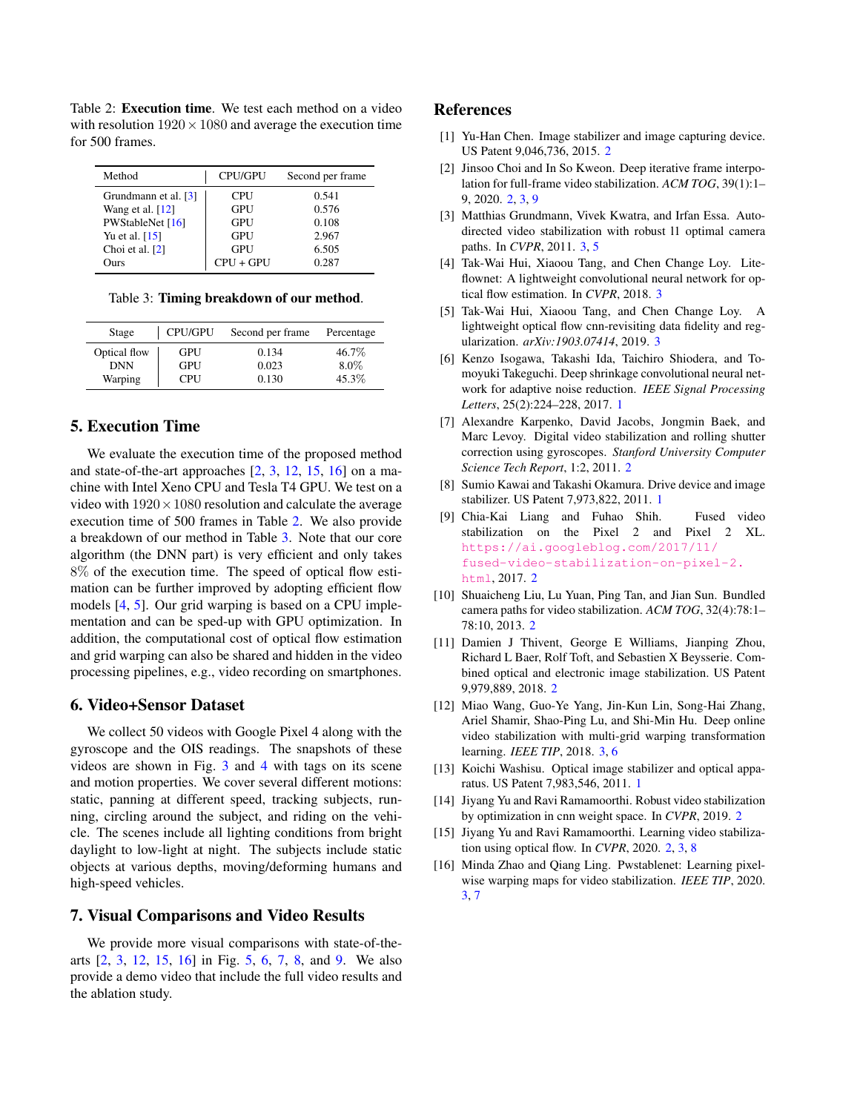<span id="page-2-18"></span><span id="page-2-14"></span>Table 2: Execution time. We test each method on a video with resolution  $1920 \times 1080$  and average the execution time for 500 frames.

| Method               | <b>CPU/GPU</b> | Second per frame |
|----------------------|----------------|------------------|
| Grundmann et al. [3] | <b>CPU</b>     | 0.541            |
| Wang et al. $[12]$   | GPU            | 0.576            |
| PWStableNet [16]     | GPU            | 0.108            |
| Yu et al. $[15]$     | GPU            | 2.967            |
| Choi et al. [2]      | GPU            | 6.505            |
| Ours                 | $CPU + GPU$    | 0.287            |

<span id="page-2-15"></span>Table 3: Timing breakdown of our method.

| Stage        | CPU/GPU | Second per frame | Percentage |
|--------------|---------|------------------|------------|
| Optical flow | GPU     | 0.134            | 46.7\%     |
| <b>DNN</b>   | GPU     | 0.023            | $8.0\%$    |
| Warping      | CPU     | 0.130            | 45.3%      |

# 5. Execution Time

We evaluate the execution time of the proposed method and state-of-the-art approaches [\[2,](#page-2-7) [3,](#page-2-11) [12,](#page-2-12) [15,](#page-2-10) [16\]](#page-2-13) on a machine with Intel Xeno CPU and Tesla T4 GPU. We test on a video with  $1920 \times 1080$  resolution and calculate the average execution time of 500 frames in Table [2.](#page-2-14) We also provide a breakdown of our method in Table [3.](#page-2-15) Note that our core algorithm (the DNN part) is very efficient and only takes 8% of the execution time. The speed of optical flow estimation can be further improved by adopting efficient flow models [\[4,](#page-2-16) [5\]](#page-2-17). Our grid warping is based on a CPU implementation and can be sped-up with GPU optimization. In addition, the computational cost of optical flow estimation and grid warping can also be shared and hidden in the video processing pipelines, e.g., video recording on smartphones.

### 6. Video+Sensor Dataset

We collect 50 videos with Google Pixel 4 along with the gyroscope and the OIS readings. The snapshots of these videos are shown in Fig. [3](#page-3-0) and [4](#page-3-1) with tags on its scene and motion properties. We cover several different motions: static, panning at different speed, tracking subjects, running, circling around the subject, and riding on the vehicle. The scenes include all lighting conditions from bright daylight to low-light at night. The subjects include static objects at various depths, moving/deforming humans and high-speed vehicles.

## 7. Visual Comparisons and Video Results

We provide more visual comparisons with state-of-thearts [\[2,](#page-2-7) [3,](#page-2-11) [12,](#page-2-12) [15,](#page-2-10) [16\]](#page-2-13) in Fig. [5,](#page-4-0) [6,](#page-5-0) [7,](#page-6-0) [8,](#page-7-0) and [9.](#page-8-0) We also provide a demo video that include the full video results and the ablation study.

### References

- <span id="page-2-3"></span>[1] Yu-Han Chen. Image stabilizer and image capturing device. US Patent 9,046,736, 2015. [2](#page-1-2)
- <span id="page-2-7"></span>[2] Jinsoo Choi and In So Kweon. Deep iterative frame interpolation for full-frame video stabilization. *ACM TOG*, 39(1):1– 9, 2020. [2,](#page-1-2) [3,](#page-2-18) [9](#page-8-1)
- <span id="page-2-11"></span>[3] Matthias Grundmann, Vivek Kwatra, and Irfan Essa. Autodirected video stabilization with robust l1 optimal camera paths. In *CVPR*, 2011. [3,](#page-2-18) [5](#page-4-1)
- <span id="page-2-16"></span>[4] Tak-Wai Hui, Xiaoou Tang, and Chen Change Loy. Liteflownet: A lightweight convolutional neural network for optical flow estimation. In *CVPR*, 2018. [3](#page-2-18)
- <span id="page-2-17"></span>[5] Tak-Wai Hui, Xiaoou Tang, and Chen Change Loy. A lightweight optical flow cnn-revisiting data fidelity and regularization. *arXiv:1903.07414*, 2019. [3](#page-2-18)
- <span id="page-2-0"></span>[6] Kenzo Isogawa, Takashi Ida, Taichiro Shiodera, and Tomoyuki Takeguchi. Deep shrinkage convolutional neural network for adaptive noise reduction. *IEEE Signal Processing Letters*, 25(2):224–228, 2017. [1](#page-0-2)
- <span id="page-2-6"></span>[7] Alexandre Karpenko, David Jacobs, Jongmin Baek, and Marc Levoy. Digital video stabilization and rolling shutter correction using gyroscopes. *Stanford University Computer Science Tech Report*, 1:2, 2011. [2](#page-1-2)
- <span id="page-2-2"></span>[8] Sumio Kawai and Takashi Okamura. Drive device and image stabilizer. US Patent 7,973,822, 2011. [1](#page-0-2)
- <span id="page-2-4"></span>[9] Chia-Kai Liang and Fuhao Shih. Fused video stabilization on the Pixel 2 and Pixel 2 XL. [https://ai.googleblog.com/2017/11/](https://ai.googleblog.com/2017/11/fused-video-stabilization-on-pixel-2.html) [fused-video-stabilization-on-pixel-2.](https://ai.googleblog.com/2017/11/fused-video-stabilization-on-pixel-2.html) [html](https://ai.googleblog.com/2017/11/fused-video-stabilization-on-pixel-2.html), 2017. [2](#page-1-2)
- <span id="page-2-8"></span>[10] Shuaicheng Liu, Lu Yuan, Ping Tan, and Jian Sun. Bundled camera paths for video stabilization. *ACM TOG*, 32(4):78:1– 78:10, 2013. [2](#page-1-2)
- <span id="page-2-5"></span>[11] Damien J Thivent, George E Williams, Jianping Zhou, Richard L Baer, Rolf Toft, and Sebastien X Beysserie. Combined optical and electronic image stabilization. US Patent 9,979,889, 2018. [2](#page-1-2)
- <span id="page-2-12"></span>[12] Miao Wang, Guo-Ye Yang, Jin-Kun Lin, Song-Hai Zhang, Ariel Shamir, Shao-Ping Lu, and Shi-Min Hu. Deep online video stabilization with multi-grid warping transformation learning. *IEEE TIP*, 2018. [3,](#page-2-18) [6](#page-5-1)
- <span id="page-2-1"></span>[13] Koichi Washisu. Optical image stabilizer and optical apparatus. US Patent 7,983,546, 2011. [1](#page-0-2)
- <span id="page-2-9"></span>[14] Jiyang Yu and Ravi Ramamoorthi. Robust video stabilization by optimization in cnn weight space. In *CVPR*, 2019. [2](#page-1-2)
- <span id="page-2-10"></span>[15] Jiyang Yu and Ravi Ramamoorthi. Learning video stabilization using optical flow. In *CVPR*, 2020. [2,](#page-1-2) [3,](#page-2-18) [8](#page-7-1)
- <span id="page-2-13"></span>[16] Minda Zhao and Qiang Ling. Pwstablenet: Learning pixelwise warping maps for video stabilization. *IEEE TIP*, 2020. [3,](#page-2-18) [7](#page-6-1)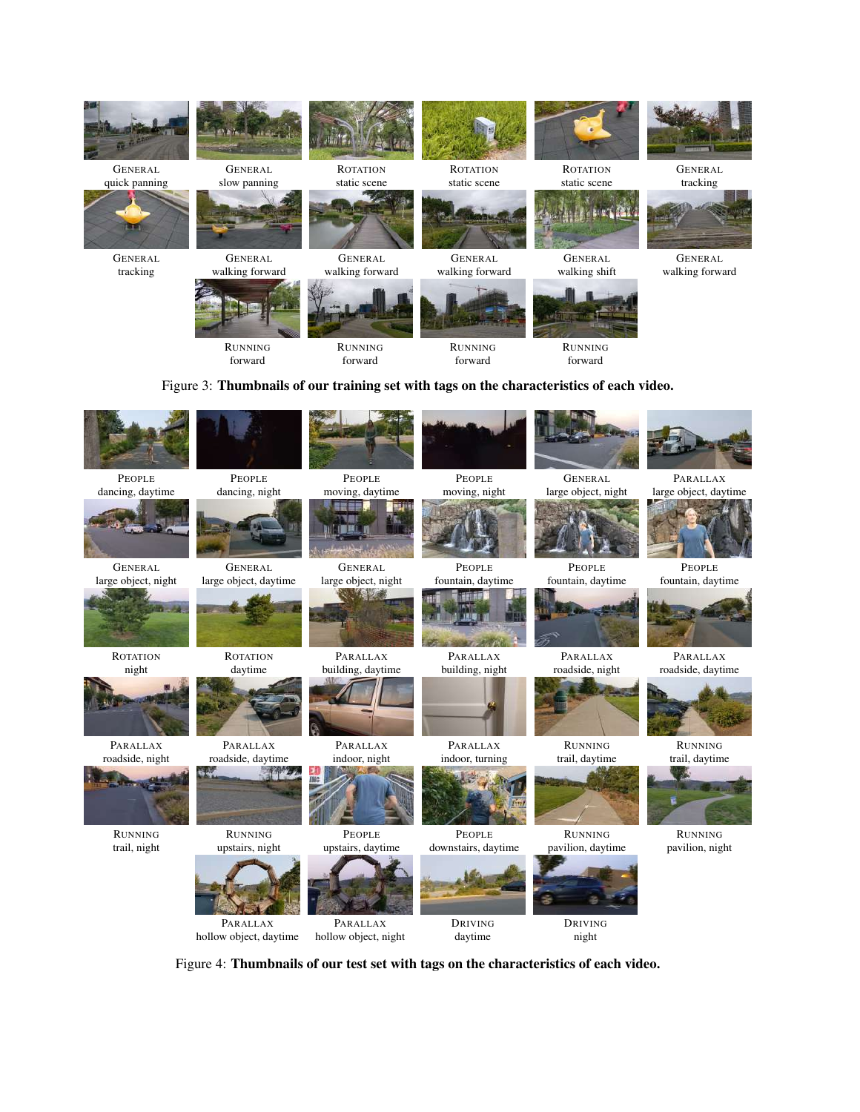<span id="page-3-1"></span><span id="page-3-0"></span>

Figure 4: Thumbnails of our test set with tags on the characteristics of each video.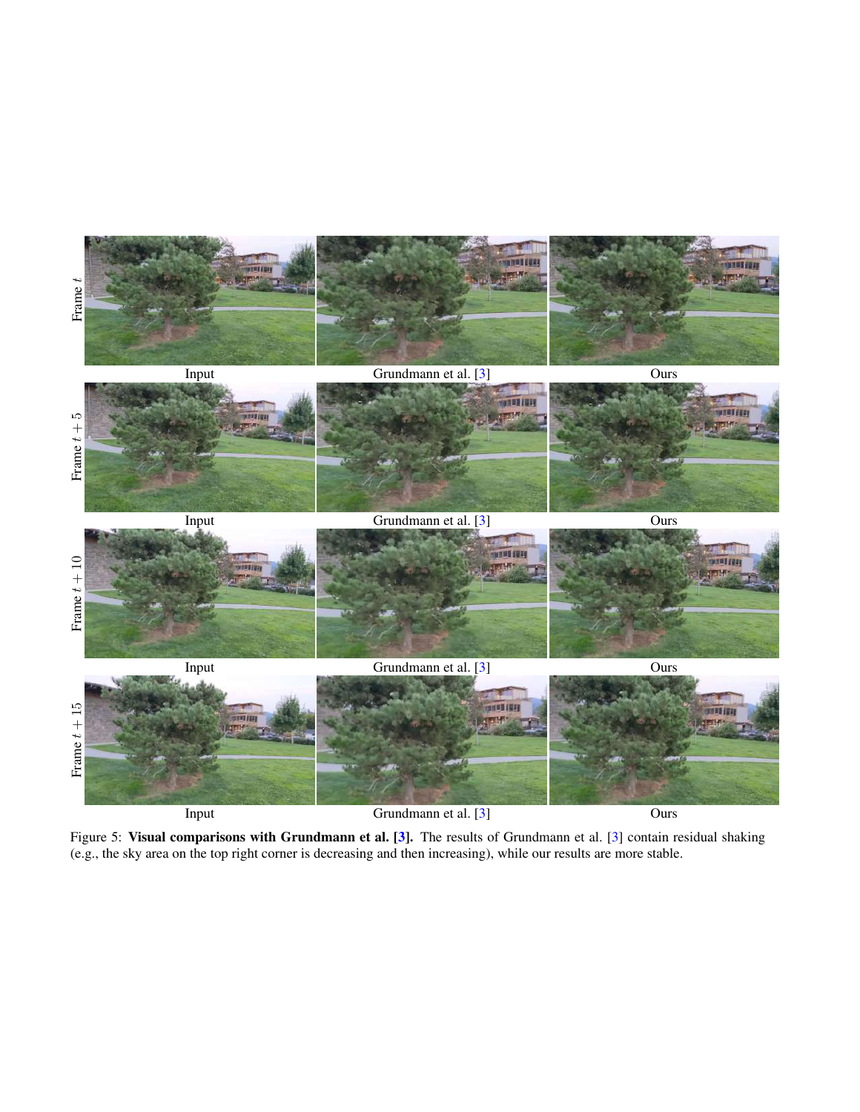<span id="page-4-1"></span><span id="page-4-0"></span>

Figure 5: Visual comparisons with Grundmann et al. [\[3\]](#page-2-11). The results of Grundmann et al. [3] contain residual shaking (e.g., the sky area on the top right corner is decreasing and then increasing), while our results are more stable.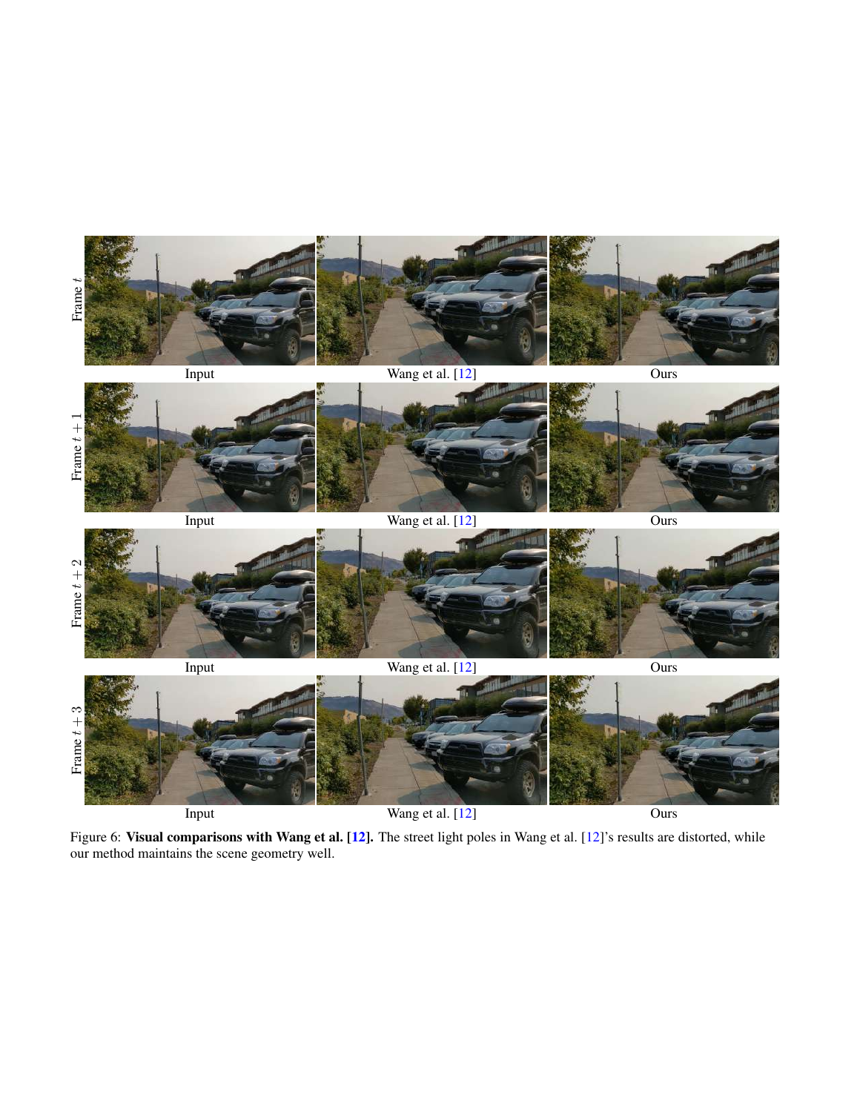<span id="page-5-1"></span><span id="page-5-0"></span>

Figure 6: Visual comparisons with Wang et al. [\[12\]](#page-2-12). The street light poles in Wang et al. [12]'s results are distorted, while our method maintains the scene geometry well.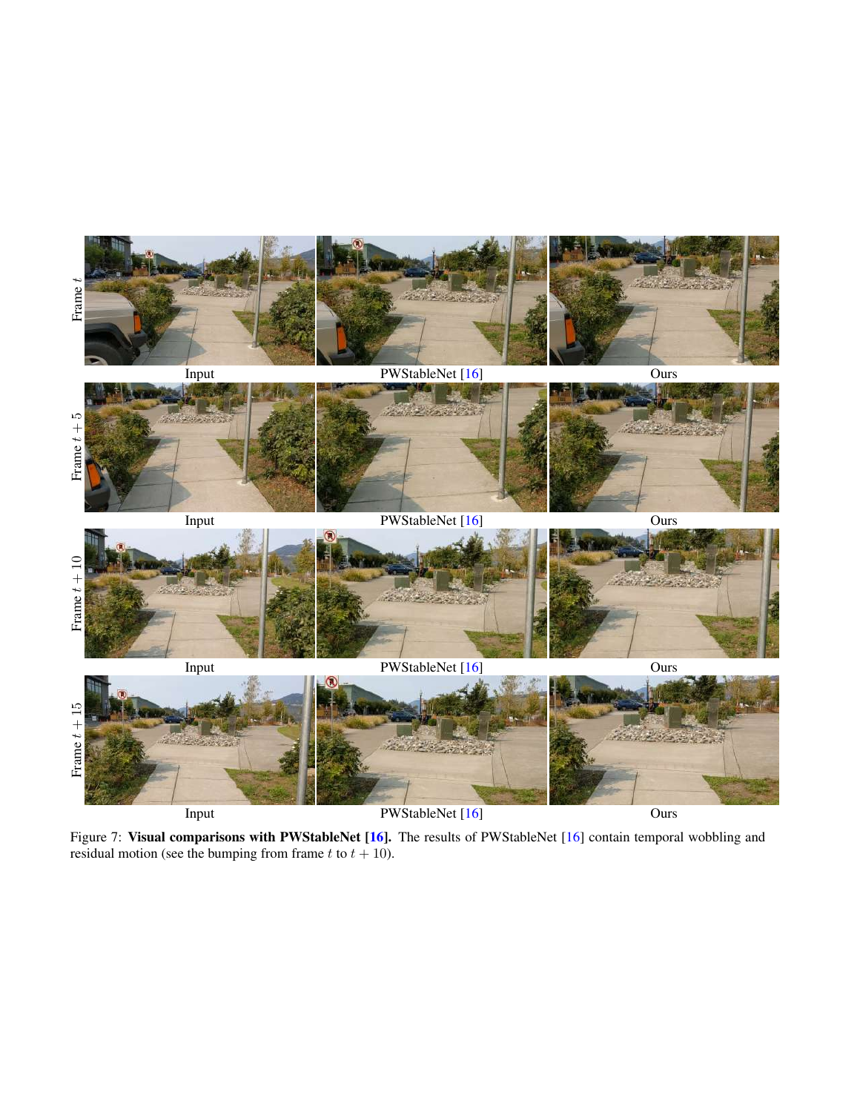<span id="page-6-1"></span><span id="page-6-0"></span>

Figure 7: Visual comparisons with PWStableNet [\[16\]](#page-2-13). The results of PWStableNet [16] contain temporal wobbling and residual motion (see the bumping from frame t to  $t + 10$ ).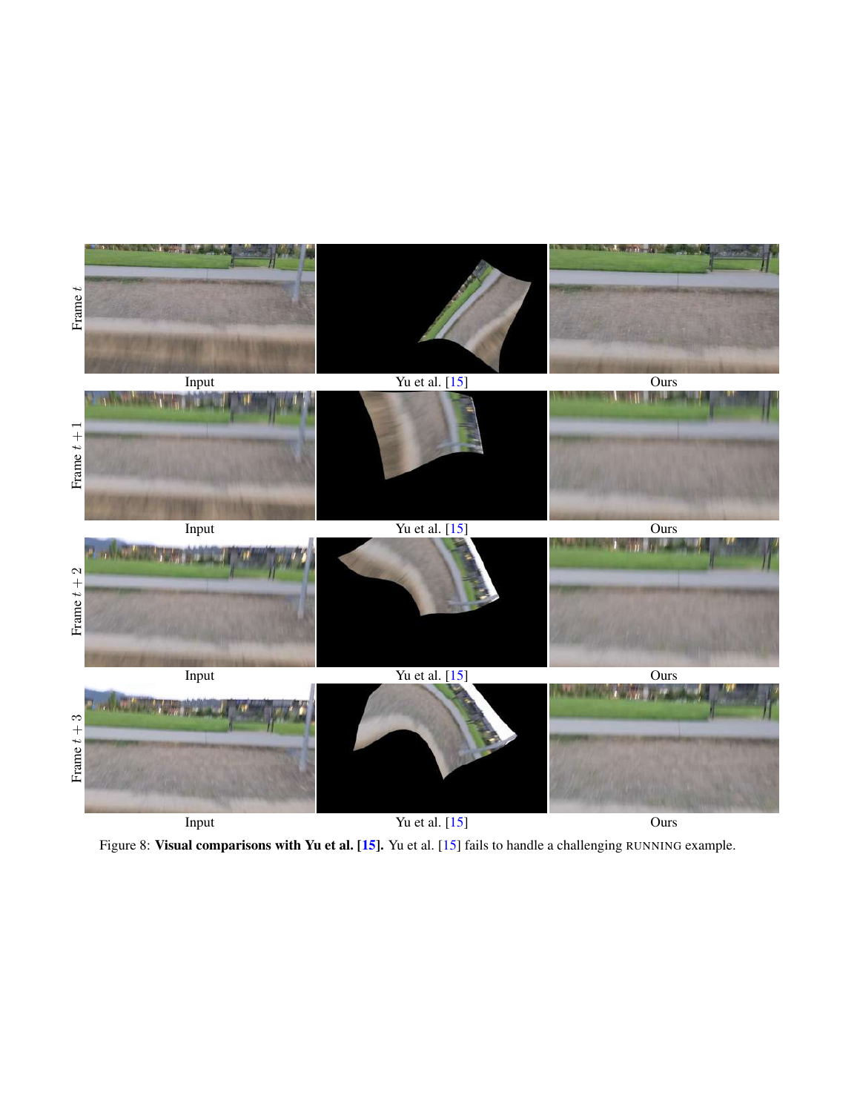<span id="page-7-1"></span><span id="page-7-0"></span>